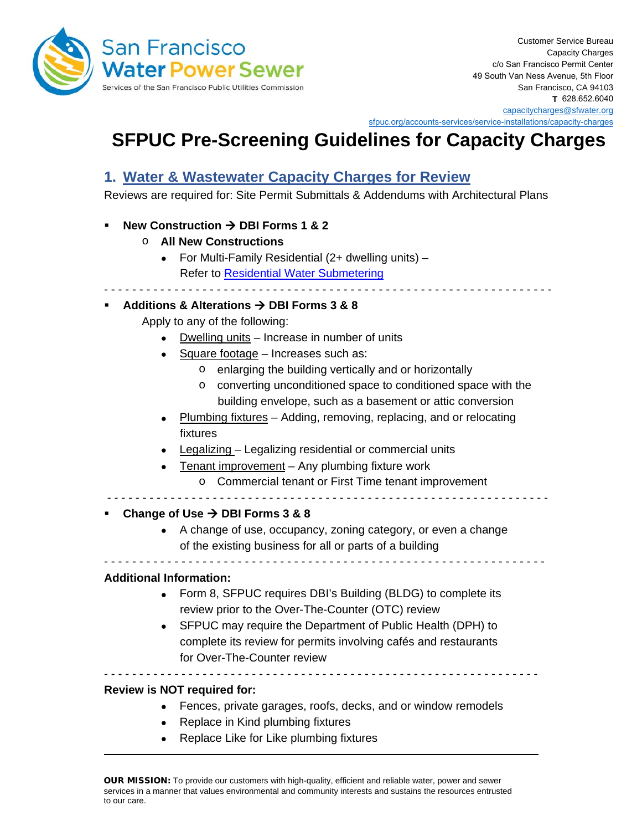

[sfpuc.org/accounts-services/service-installations/capacity-charges](https://sfpuc.org/accounts-services/service-installations/capacity-charges)

- - - - - - - - - - - - - - - - - - - - - - - - - - - - - - - - - - - - - - - - - - - - - - - - - - - - - - - - - - - - - - - -

# **SFPUC Pre-Screening Guidelines for Capacity Charges**

### **1. Water & Wastewater Capacity Charges for Review**

Reviews are required for: Site Permit Submittals & Addendums with Architectural Plans

#### **New Construction → DBI Forms 1 & 2**

- o **All New Constructions**
	- For Multi-Family Residential (2+ dwelling units) Refer to [Residential Water Submetering](https://sfpuc.org/construction-contracts/design-guidelines-standards/residential-water-submetering)

#### **Additions & Alterations**  $\rightarrow$  **DBI Forms 3 & 8**

Apply to any of the following:

- Dwelling units Increase in number of units
- Square footage Increases such as:
	- o enlarging the building vertically and or horizontally
	- o converting unconditioned space to conditioned space with the building envelope, such as a basement or attic conversion
- Plumbing fixtures Adding, removing, replacing, and or relocating fixtures
- Legalizing Legalizing residential or commercial units
- Tenant improvement Any plumbing fixture work

o Commercial tenant or First Time tenant improvement

## - - - - - - - - - - - - - - - - - - - - - - - - - - - - - - - - - - - - - - - - - - - - - - - - - - - - - - - - - - - - - - -

#### Change of Use  $\rightarrow$  DBI Forms 3 & 8

• A change of use, occupancy, zoning category, or even a change of the existing business for all or parts of a building

- - - - - - - - - - - - - - - - - - - - - - - - - - - - - - - - - - - - - - - - - - - - - - - - - - - - - - - - - - - - - - -

#### **Additional Information:**

- Form 8, SFPUC requires DBI's Building (BLDG) to complete its review prior to the Over-The-Counter (OTC) review
- SFPUC may require the Department of Public Health (DPH) to complete its review for permits involving cafés and restaurants for Over-The-Counter review

#### **Review is NOT required for:**

• Fences, private garages, roofs, decks, and or window remodels

- - - - - - - - - - - - - - - - - - - - - - - - - - - - - - - - - - - - - - - - - - - - - - - - - - - - - - - - - - - - - -

- Replace in Kind plumbing fixtures
- Replace Like for Like plumbing fixtures